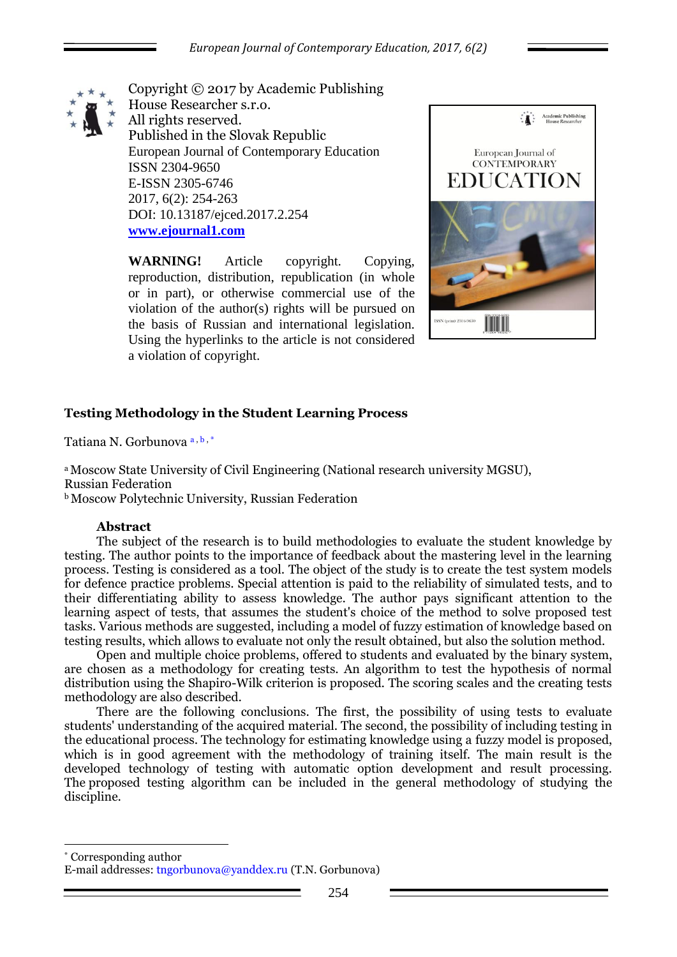

Copyright © 2017 by Academic Publishing House Researcher s.r.o. All rights reserved. Published in the Slovak Republic European Journal of Contemporary Education ISSN 2304-9650 E-ISSN 2305-6746 2017, 6(2): 254-263 DOI: 10.13187/ejced.2017.2.254 **[www.ejournal1.com](http://www.ejournal1.com/)**

**WARNING!** Article copyright. Copying, reproduction, distribution, republication (in whole or in part), or otherwise commercial use of the violation of the author(s) rights will be pursued on the basis of Russian and international legislation. Using the hyperlinks to the article is not considered a violation of copyright.



# **Testing Methodology in the Student Learning Process**

Tatiana N. Gorbunova<sup>a, b,\*</sup>

<sup>a</sup> Moscow State University of Civil Engineering (National research university MGSU), Russian Federation **b**Moscow Polytechnic University, Russian Federation

### **Abstract**

1

The subject of the research is to build methodologies to evaluate the student knowledge by testing. The author points to the importance of feedback about the mastering level in the learning process. Testing is considered as a tool. The object of the study is to create the test system models for defence practice problems. Special attention is paid to the reliability of simulated tests, and to their differentiating ability to assess knowledge. The author pays significant attention to the learning aspect of tests, that assumes the student's choice of the method to solve proposed test tasks. Various methods are suggested, including a model of fuzzy estimation of knowledge based on testing results, which allows to evaluate not only the result obtained, but also the solution method.

Open and multiple choice problems, offered to students and evaluated by the binary system, are chosen as a methodology for creating tests. An algorithm to test the hypothesis of normal distribution using the Shapiro-Wilk criterion is proposed. The scoring scales and the creating tests methodology are also described.

There are the following conclusions. The first, the possibility of using tests to evaluate students' understanding of the acquired material. The second, the possibility of including testing in the educational process. The technology for estimating knowledge using a fuzzy model is proposed, which is in good agreement with the methodology of training itself. The main result is the developed technology of testing with automatic option development and result processing. The proposed testing algorithm can be included in the general methodology of studying the discipline.

\* Corresponding author E-mail addresses: tngorbunova@yanddex.ru (T.N. Gorbunova)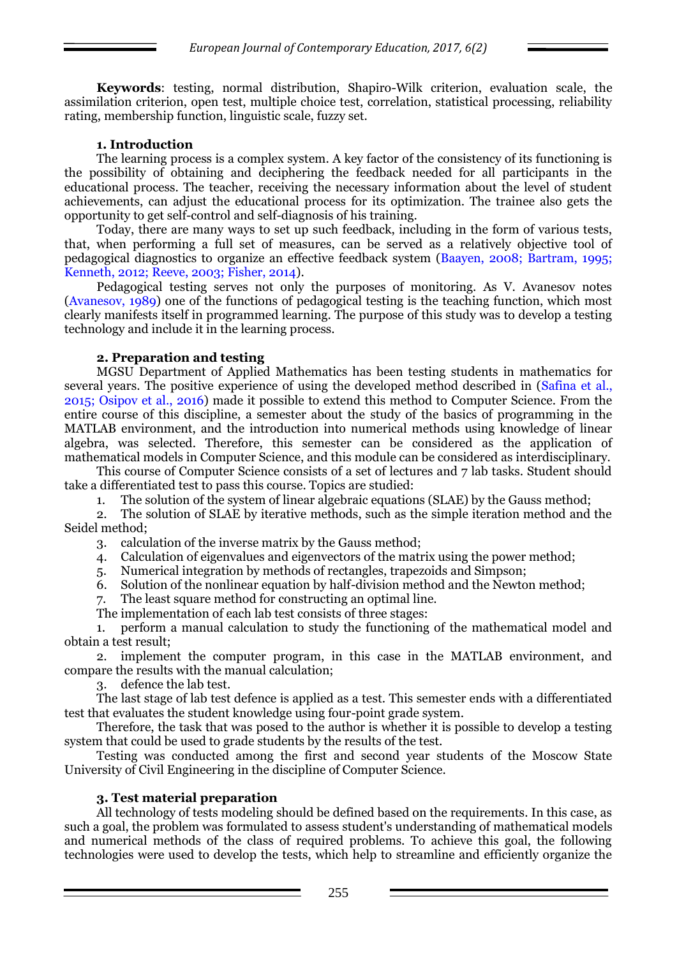**Keywords**: testing, normal distribution, Shapiro-Wilk criterion, evaluation scale, the assimilation criterion, open test, multiple choice test, correlation, statistical processing, reliability rating, membership function, linguistic scale, fuzzy set.

### **1. Introduction**

The learning process is a complex system. A key factor of the consistency of its functioning is the possibility of obtaining and deciphering the feedback needed for all participants in the educational process. The teacher, receiving the necessary information about the level of student achievements, can adjust the educational process for its optimization. The trainee also gets the opportunity to get self-control and self-diagnosis of his training.

Today, there are many ways to set up such feedback, including in the form of various tests, that, when performing a full set of measures, can be served as a relatively objective tool of pedagogical diagnostics to organize an effective feedback system (Baayen, 2008; Bartram, 1995; Kenneth, 2012; Reeve, 2003; Fisher, 2014).

Pedagogical testing serves not only the purposes of monitoring. As V. Avanesov notes (Avanesov, 1989) one of the functions of pedagogical testing is the teaching function, which most clearly manifests itself in programmed learning. The purpose of this study was to develop a testing technology and include it in the learning process.

### **2. Preparation and testing**

MGSU Department of Applied Mathematics has been testing students in mathematics for several years. The positive experience of using the developed method described in (Safina et al., 2015; Osipov et al., 2016) made it possible to extend this method to Computer Science. From the entire course of this discipline, a semester about the study of the basics of programming in the MATLAB environment, and the introduction into numerical methods using knowledge of linear algebra, was selected. Therefore, this semester can be considered as the application of mathematical models in Computer Science, and this module can be considered as interdisciplinary.

This course of Computer Science consists of a set of lectures and 7 lab tasks. Student should take a differentiated test to pass this course. Topics are studied:

1. The solution of the system of linear algebraic equations (SLAE) by the Gauss method;

2. The solution of SLAE by iterative methods, such as the simple iteration method and the Seidel method;

- 3. calculation of the inverse matrix by the Gauss method;
- 4. Calculation of eigenvalues and eigenvectors of the matrix using the power method;
- 5. Numerical integration by methods of rectangles, trapezoids and Simpson;
- 6. Solution of the nonlinear equation by half-division method and the Newton method;
- 7. The least square method for constructing an optimal line.
- The implementation of each lab test consists of three stages:

1. perform a manual calculation to study the functioning of the mathematical model and obtain a test result;

2. implement the computer program, in this case in the MATLAB environment, and compare the results with the manual calculation;

3. defence the lab test.

The last stage of lab test defence is applied as a test. This semester ends with a differentiated test that evaluates the student knowledge using four-point grade system.

Therefore, the task that was posed to the author is whether it is possible to develop a testing system that could be used to grade students by the results of the test.

Testing was conducted among the first and second year students of the Moscow State University of Civil Engineering in the discipline of Computer Science.

#### **3. Test material preparation**

All technology of tests modeling should be defined based on the requirements. In this case, as such a goal, the problem was formulated to assess student's understanding of mathematical models and numerical methods of the class of required problems. To achieve this goal, the following technologies were used to develop the tests, which help to streamline and efficiently organize the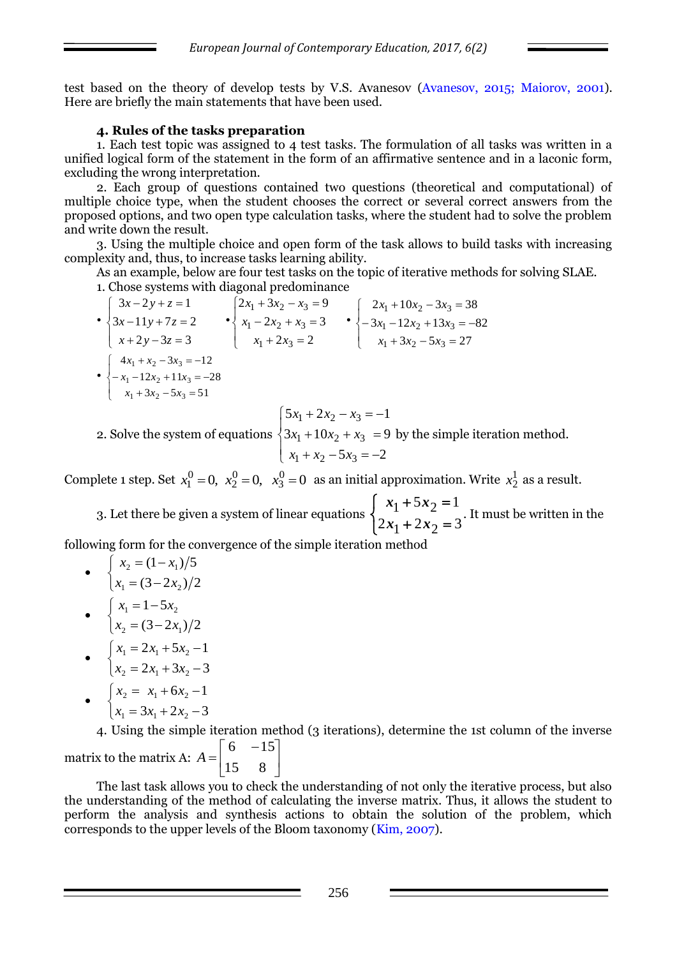test based on the theory of develop tests by V.S. Avanesov (Avanesov, 2015; Maiorov, 2001). Here are briefly the main statements that have been used.

## **4. Rules of the tasks preparation**

1. Each test topic was assigned to 4 test tasks. The formulation of all tasks was written in a unified logical form of the statement in the form of an affirmative sentence and in a laconic form, excluding the wrong interpretation.

2. Each group of questions contained two questions (theoretical and computational) of multiple choice type, when the student chooses the correct or several correct answers from the proposed options, and two open type calculation tasks, where the student had to solve the problem and write down the result.

3. Using the multiple choice and open form of the task allows to build tasks with increasing complexity and, thus, to increase tasks learning ability.

As an example, below are four test tasks on the topic of iterative methods for solving SLAE. 1. Chose systems with diagonal predominance

•  $\overline{\mathcal{L}}$  $\Big\}$  $\left\{ \right.$  $\left\lceil \right\rceil$  $+2y-3z =$  $-11y+7z =$  $-2y+z=$  $2y - 3z = 3$  $3x - 11y + 7z = 2$  $3x - 2y + z = 1$  $x + 2y - 3z$  $x - 11y + 7z$  $x - 2y + z$ •  $\overline{\mathcal{L}}$  $\bigg\}$  $\left\{ \right.$  $\int$  $+2x_3 =$  $-2x_2 + x_3 =$  $+3x_2 - x_3 =$  $2x_3 = 2$  $2x_2 + x_3 = 3$  $2x_1 + 3x_2 - x_3 = 9$  $1 + 2\lambda_3$  $x_1 - 2x_2 + x_3$  $x_1 + 3x_2 - x_3$  $x_1 + 2x$  $x_1 - 2x_2 + x$  $x_1 + 3x_2 - x$ •  $\overline{\mathcal{L}}$  $\int$  $\left\lceil \right\rceil$  $+3x_2-5x_3=$  $-3x_1-12x_2+13x_3= +10x_2-3x_3=$  $3x_2 - 5x_3 = 27$  $3x_1 - 12x_2 + 13x_3 = -82$  $2x_1 + 10x_2 - 3x_3 = 38$  $x_1 + 3x_2 - 3x_3$  $\mathbb{E}_1 - 12x_2 + 13x_3$  $x_1$  +  $10x_2$  –  $3x_3$  $x_1 + 3x_2 - 5x$  $x_1 - 12x_2 + 13x$  $x_1 + 10x_2 - 3x$ •  $\overline{\mathcal{L}}$ ļ  $\left\lceil \right\rceil$  $+3x_2-5x_3=$  $-x_1-12x_2+11x_3= + x_2 - 3x_3 = 3x_2 - 5x_3 = 51$  $12x_2 + 11x_3 = -28$  $4x_1 + x_2 - 3x_3 = -12$  $1 + 3\lambda_2 - 3\lambda_3$  $1 - 12\lambda_2 + 11\lambda_3$  $1 + \lambda_2 - 3\lambda_3$  $x_1 + 3x_2 - 5x$  $x_1 - 12x_2 + 11x$  $x_1 + x_2 - 3x$  $\left\lceil \right\rceil$  $+2x_2 - x_3 = 5x_1 + 2x_2 - x_3 = -1$  $x_1 + 2x_2 - x_3$  $x_1 + 2x_2 - x$ 

2. Solve the system of equations  $\overline{\mathcal{L}}$  $\Big\}$  $\left\{ \right.$  $+ x_2 - 5x_3 = +10x_2 + x_3 =$  $5x_3 = -2$  $3x_1 + 10x_2 + x_3 = 9$  $x_1 + x_2 - 3x_3$  $x_1 + 10x_2 + x_3$  $x_1 + x_2 - 5x$  $x_1 + 10x_2 + x$ by the simple iteration method.

Complete 1 step. Set  $x_1^0 = 0$ ,  $x_2^0 = 0$ ,  $x_3^0 = 0$ 3  $\boldsymbol{0}$ 2  $x_1^0 = 0$ ,  $x_2^0 = 0$ ,  $x_3^0 = 0$  as an initial approximation. Write  $x_2^1$  $x_2^1$  as a result.

3. Let there be given a system of linear equations  $\overline{\mathcal{L}}$ ┤  $\left\lceil \right\rceil$  $+2x_2 =$  $+5x_2 =$  $2x_1 + 2x_2 = 3$  $5x_2 = 1$  $1 + 2x_2$  $1 + 3x_2$  $x_1 + 2x$  $x_1 + 5x$ . It must be written in the

following form for the convergence of the simple iteration method

 $\bullet$  $\overline{\mathcal{L}}$ ┤  $\int$  $= (3 = (1 (3 - 2x_2)/2$  $(1 - x_1) / 5$  $t_1 - (3 - 2\lambda_2)$  $2 - (1 - \lambda_1)$  $x_1 = (3-2x)$  $x_2 = (1 - x)$  $\bullet$  $\overline{\mathcal{L}}$ ┤  $\int$  $= (3 =1 (3 - 2x_1)/2$  $1 - 5$  $2 - (3 - 2\lambda_1)$  $t_1 - 1 - 3\lambda_2$  $x_2 = (3-2x)$  $x_1 = 1 - 5x$  $\bullet$  $\overline{\mathcal{L}}$ ┤  $\left\lceil \right\rceil$  $= 2x_1 + 3x_2 = 2x_1 + 5x_2 2x_1 + 3x_2 - 3$  $2x_1 + 5x_2 - 1$  $_2 - 2\lambda_1 + 3\lambda_2$  $1 - 2\lambda_1 + 3\lambda_2$  $x_2 = 2x_1 + 3x$  $x_1 = 2x_1 + 5x$  $\bullet$  $\overline{\mathcal{L}}$ ┤  $\left\lceil$  $= 3x_1 + 2x_2 = x_1 + 6x_2 3x_1 + 2x_2 - 3$  $6x_2 - 1$  $\tau_1 - 3\lambda_1 + 2\lambda_2$  $_2$  –  $\lambda_1$  –  $\mathbf{u}\lambda_2$  $x_1 = 3x_1 + 2x$  $x_2 = x_1 + 6x$ 

4. Using the simple iteration method (3 iterations), determine the 1st column of the inverse matrix to the matrix A:  $A = \begin{bmatrix} 1 & 8 \end{bmatrix}$  $\frac{1}{2}$ q  $\mathsf{I}$ L  $\begin{bmatrix} 6 & - \end{bmatrix}$  $=$ 15 8  $6 - 15$ *A*

The last task allows you to check the understanding of not only the iterative process, but also the understanding of the method of calculating the inverse matrix. Thus, it allows the student to perform the analysis and synthesis actions to obtain the solution of the problem, which corresponds to the upper levels of the Bloom taxonomy (Kim, 2007).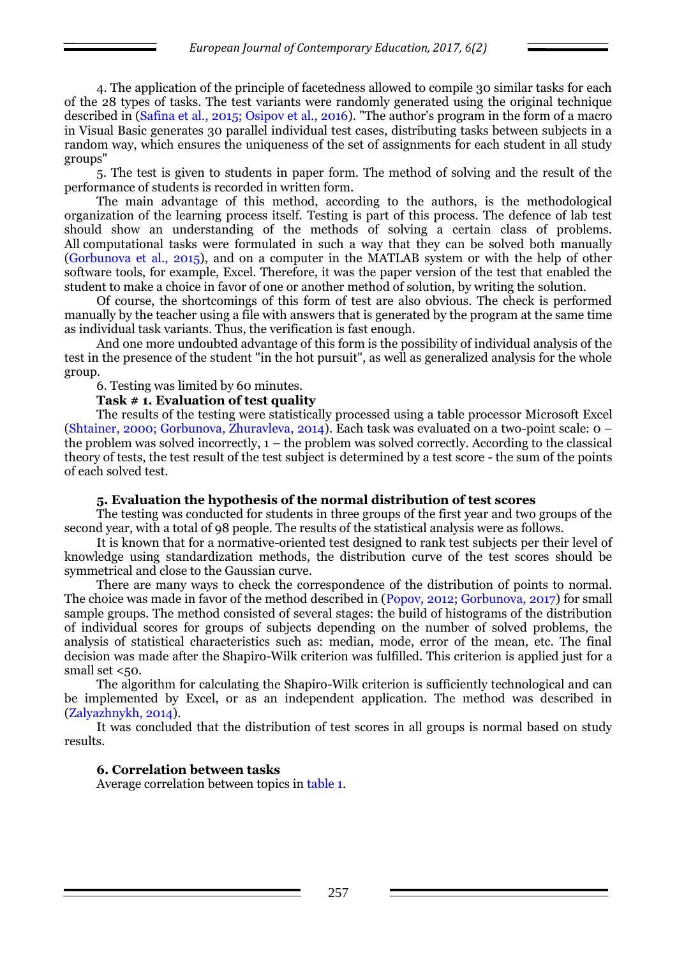4. The application of the principle of facetedness allowed to compile 30 similar tasks for each of the 28 types of tasks. The test variants were randomly generated using the original technique described in (Safina et al., 2015; Osipov et al., 2016). "The author's program in the form of a macro in Visual Basic generates 30 parallel individual test cases, distributing tasks between subjects in a random way, which ensures the uniqueness of the set of assignments for each student in all study groups"

5. The test is given to students in paper form. The method of solving and the result of the performance of students is recorded in written form.

The main advantage of this method, according to the authors, is the methodological organization of the learning process itself. Testing is part of this process. The defence of lab test should show an understanding of the methods of solving a certain class of problems. All computational tasks were formulated in such a way that they can be solved both manually (Gorbunova et al., 2015), and on a computer in the MATLAB system or with the help of other software tools, for example, Excel. Therefore, it was the paper version of the test that enabled the student to make a choice in favor of one or another method of solution, by writing the solution.

Of course, the shortcomings of this form of test are also obvious. The check is performed manually by the teacher using a file with answers that is generated by the program at the same time as individual task variants. Thus, the verification is fast enough.

And one more undoubted advantage of this form is the possibility of individual analysis of the test in the presence of the student "in the hot pursuit", as well as generalized analysis for the whole group.

6. Testing was limited by 60 minutes.

#### **Task # 1. Evaluation of test quality**

The results of the testing were statistically processed using a table processor Miсrosoft Excel (Shtainer, 2000; Gorbunova, Zhuravleva, 2014). Each task was evaluated on a two-point scale: 0 – the problem was solved incorrectly, 1 – the problem was solved correctly. According to the classical theory of tests, the test result of the test subject is determined by a test score - the sum of the points of each solved test.

#### **5. Evaluation the hypothesis of the normal distribution of test scores**

The testing was conducted for students in three groups of the first year and two groups of the second year, with a total of 98 people. The results of the statistical analysis were as follows.

It is known that for a normative-oriented test designed to rank test subjects per their level of knowledge using standardization methods, the distribution curve of the test scores should be symmetrical and close to the Gaussian curve.

There are many ways to check the correspondence of the distribution of points to normal. The choice was made in favor of the method described in (Popov, 2012; Gorbunova, 2017) for small sample groups. The method consisted of several stages: the build of histograms of the distribution of individual scores for groups of subjects depending on the number of solved problems, the analysis of statistical characteristics such as: median, mode, error of the mean, etc. The final decision was made after the Shapiro-Wilk criterion was fulfilled. This criterion is applied just for a small set  $<50$ .

The algorithm for calculating the Shapiro-Wilk criterion is sufficiently technological and can be implemented by Excel, or as an independent application. The method was described in (Zalyazhnykh, 2014).

It was concluded that the distribution of test scores in all groups is normal based on study results.

### **6. Correlation between tasks**

Average correlation between topics in table 1.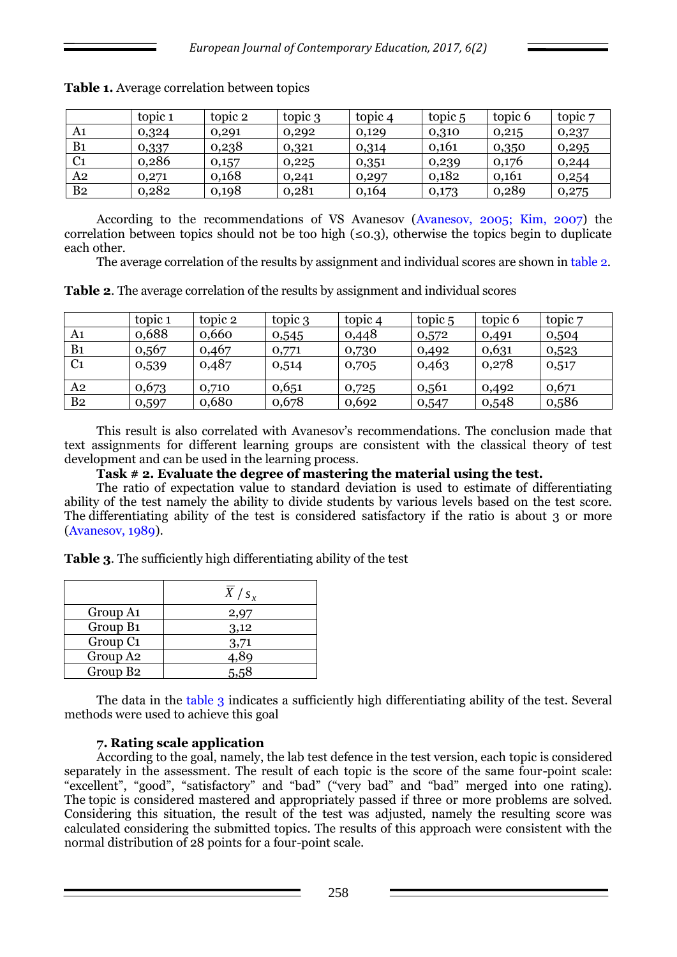|                | topic 1 | topic 2 | topic 3 | topic 4 | topic 5 | topic 6 | topic 7 |
|----------------|---------|---------|---------|---------|---------|---------|---------|
| A1             | 0,324   | 0,291   | 0,292   | 0,129   | 0,310   | 0,215   | 0,237   |
| B <sub>1</sub> | 0,337   | 0,238   | 0,321   | 0,314   | 0.161   | 0,350   | 0,295   |
| C <sub>1</sub> | 0,286   | 0,157   | 0,225   | 0,351   | 0,239   | 0,176   | 0,244   |
| A2             | 0,271   | 0,168   | 0,241   | 0,297   | 0,182   | 0,161   | 0,254   |
| B <sub>2</sub> | 0,282   | 0,198   | 0,281   | 0,164   | 0,173   | 0,289   | 0,275   |

**Table 1.** Average correlation between topics

According to the recommendations of VS Avanesov (Avanesov, 2005; Kim, 2007) the correlation between topics should not be too high  $(\leq 0.3)$ , otherwise the topics begin to duplicate each other.

The average correlation of the results by assignment and individual scores are shown in table 2.

| Table 2. The average correlation of the results by assignment and individual scores |  |  |
|-------------------------------------------------------------------------------------|--|--|
|                                                                                     |  |  |

|                | topic 1 | topic 2 | topic 3 | topic 4 | topic 5 | topic 6 | topic 7 |
|----------------|---------|---------|---------|---------|---------|---------|---------|
| A1             | 0,688   | 0,660   | 0,545   | 0,448   | 0,572   | 0,491   | 0,504   |
| B <sub>1</sub> | 0,567   | 0,467   | 0,771   | 0,730   | 0,492   | 0,631   | 0,523   |
| C <sub>1</sub> | 0,539   | 0,487   | 0,514   | 0,705   | 0,463   | 0,278   | 0,517   |
| A2             | 0,673   | 0,710   | 0,651   | 0,725   | 0,561   | 0,492   | 0,671   |
| B <sub>2</sub> | 0,597   | 0,680   | 0,678   | 0,692   | 0,547   | 0,548   | 0,586   |

This result is also correlated with Avanesov's recommendations. The conclusion made that text assignments for different learning groups are consistent with the classical theory of test development and can be used in the learning process.

**Task # 2. Evaluate the degree of mastering the material using the test.**

The ratio of expectation value to standard deviation is used to estimate of differentiating ability of the test namely the ability to divide students by various levels based on the test score. The differentiating ability of the test is considered satisfactory if the ratio is about 3 or more (Avanesov, 1989).

**Table 3**. The sufficiently high differentiating ability of the test

|                      | $X/s_{x}$ |
|----------------------|-----------|
| Group A1             | 2,97      |
| Group B1             | 3,12      |
| Group C <sub>1</sub> | 3,71      |
| Group A <sub>2</sub> | 4,89      |
| Group B <sub>2</sub> | 5,58      |

The data in the table 3 indicates a sufficiently high differentiating ability of the test. Several methods were used to achieve this goal

### **7. Rating scale application**

According to the goal, namely, the lab test defence in the test version, each topic is considered separately in the assessment. The result of each topic is the score of the same four-point scale: "excellent", "good", "satisfactory" and "bad" ("very bad" and "bad" merged into one rating). The topic is considered mastered and appropriately passed if three or more problems are solved. Considering this situation, the result of the test was adjusted, namely the resulting score was calculated considering the submitted topics. The results of this approach were consistent with the normal distribution of 28 points for a four-point scale.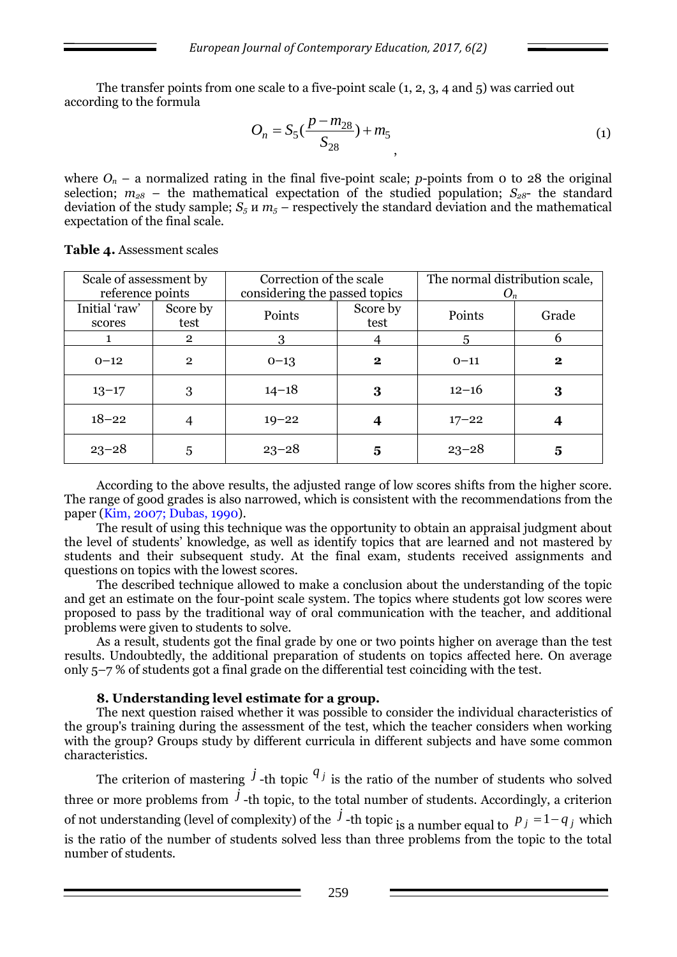The transfer points from one scale to a five-point scale (1, 2, 3, 4 and 5) was carried out according to the formula

$$
O_n = S_5(\frac{p - m_{28}}{S_{28}}) + m_5
$$
\n(1)

where  $O_n$  – a normalized rating in the final five-point scale; *p*-points from 0 to 28 the original selection;  $m_{28}$  – the mathematical expectation of the studied population;  $S_{28}$ - the standard deviation of the study sample;  $S_5 \mu m_5$  – respectively the standard deviation and the mathematical expectation of the final scale.

| Scale of assessment by |                | Correction of the scale       |          | The normal distribution scale, |              |  |
|------------------------|----------------|-------------------------------|----------|--------------------------------|--------------|--|
| reference points       |                | considering the passed topics |          |                                | $O_n$        |  |
| Initial 'raw'          | Score by       | Points                        | Score by | Points                         | Grade        |  |
| scores                 | test           |                               | test     |                                |              |  |
|                        | $\overline{2}$ |                               |          | 5                              | 6            |  |
| $0 - 12$               | $\overline{2}$ | $0 - 13$                      | $\bf{2}$ | $0 - 11$                       | $\mathbf{2}$ |  |
| $13 - 17$              | 3              | $14 - 18$                     | 3        | $12 - 16$                      | 3            |  |
| $18 - 22$              |                | $19 - 22$                     |          | $17 - 22$                      |              |  |
| $23 - 28$              | 5              | $23 - 28$                     | 5        | $23 - 28$                      | 5            |  |

**Table 4.** Assessment scales

According to the above results, the adjusted range of low scores shifts from the higher score. The range of good grades is also narrowed, which is consistent with the recommendations from the paper (Kim, 2007; Dubas, 1990).

The result of using this technique was the opportunity to obtain an appraisal judgment about the level of students' knowledge, as well as identify topics that are learned and not mastered by students and their subsequent study. At the final exam, students received assignments and questions on topics with the lowest scores.

The described technique allowed to make a conclusion about the understanding of the topic and get an estimate on the four-point scale system. The topics where students got low scores were proposed to pass by the traditional way of oral communication with the teacher, and additional problems were given to students to solve.

As a result, students got the final grade by one or two points higher on average than the test results. Undoubtedly, the additional preparation of students on topics affected here. On average only 5–7 % of students got a final grade on the differential test coinciding with the test.

#### **8. Understanding level estimate for a group.**

The next question raised whether it was possible to consider the individual characteristics of the group's training during the assessment of the test, which the teacher considers when working with the group? Groups study by different curricula in different subjects and have some common characteristics.

The criterion of mastering  $\hat{J}$ -th topic  $q_j$  is the ratio of the number of students who solved three or more problems from  $\hat{J}$ -th topic, to the total number of students. Accordingly, a criterion of not understanding (level of complexity) of the  $\dot{j}$  -th topic is a number equal to  $p_j = 1 - q_j$  which is the ratio of the number of students solved less than three problems from the topic to the total number of students.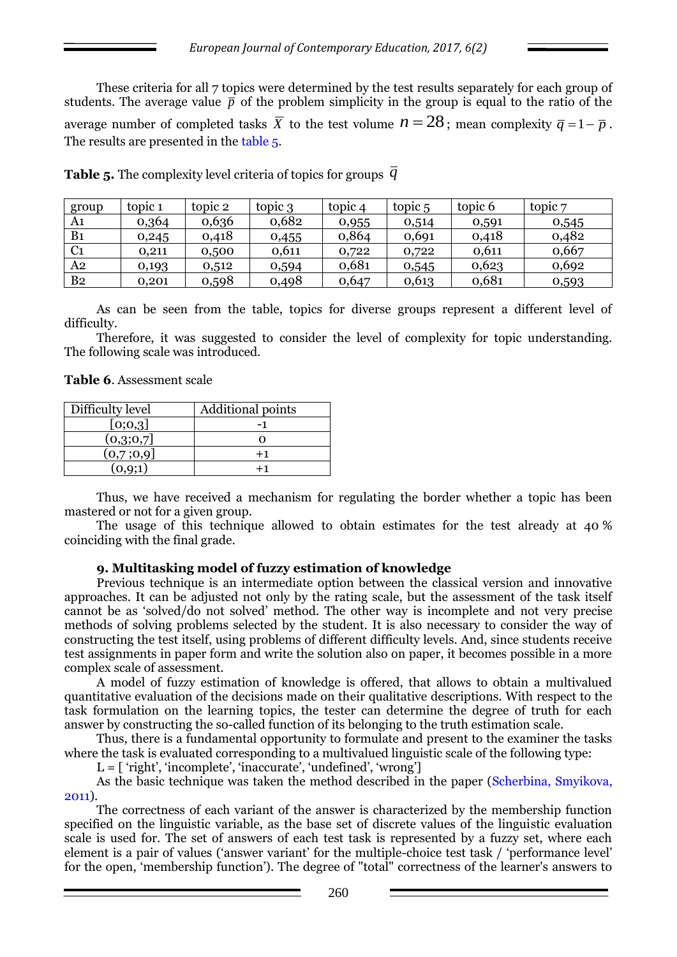These criteria for all 7 topics were determined by the test results separately for each group of students. The average value  $\bar{p}$  of the problem simplicity in the group is equal to the ratio of the average number of completed tasks  $\overline{X}$  to the test volume  $n = 28$ ; mean complexity  $\overline{q} = 1 - \overline{p}$ . The results are presented in the table 5.

| group          | topic 1 | topic 2 | topic 3 | topic 4 | topic 5 | topic 6 | topic 7 |
|----------------|---------|---------|---------|---------|---------|---------|---------|
| A1             | 0,364   | 0,636   | 0,682   | 0,955   | 0,514   | 0,591   | 0,545   |
| B1             | 0,245   | 0,418   | 0,455   | 0,864   | 0,691   | 0,418   | 0,482   |
| C <sub>1</sub> | 0,211   | 0,500   | 0,611   | 0,722   | 0,722   | 0,611   | 0,667   |
| A <sub>2</sub> | 0,193   | 0,512   | 0,594   | 0,681   | 0,545   | 0,623   | 0,692   |
| B <sub>2</sub> | 0.201   | 0,598   | 0,498   | 0,647   | 0,613   | 0,681   | 0,593   |

**Table 5.** The complexity level criteria of topics for groups  $\,\overline{q}\,$ 

As can be seen from the table, topics for diverse groups represent a different level of difficulty.

Therefore, it was suggested to consider the level of complexity for topic understanding. The following scale was introduced.

**Table 6**. Assessment scale

| Difficulty level | Additional points |
|------------------|-------------------|
| [0;0,3]          |                   |
| (0,3;0,7]        |                   |
| (0,7;0,9]        | $+1$              |
|                  |                   |

Thus, we have received a mechanism for regulating the border whether a topic has been mastered or not for a given group.

The usage of this technique allowed to obtain estimates for the test already at 40 % coinciding with the final grade.

### **9. Multitasking model of fuzzy estimation of knowledge**

Previous technique is an intermediate option between the classical version and innovative approaches. It can be adjusted not only by the rating scale, but the assessment of the task itself cannot be as 'solved/do not solved' method. The other way is incomplete and not very precise methods of solving problems selected by the student. It is also necessary to consider the way of constructing the test itself, using problems of different difficulty levels. And, since students receive test assignments in paper form and write the solution also on paper, it becomes possible in a more complex scale of assessment.

A model of fuzzy estimation of knowledge is offered, that allows to obtain a multivalued quantitative evaluation of the decisions made on their qualitative descriptions. With respect to the task formulation on the learning topics, the tester can determine the degree of truth for each answer by constructing the so-called function of its belonging to the truth estimation scale.

Thus, there is a fundamental opportunity to formulate and present to the examiner the tasks where the task is evaluated corresponding to a multivalued linguistic scale of the following type:

 $L = [\n 'right', \n 'incomplete', \n 'inaccurate', \n 'undefined', \n 'wrong']$ 

As the basic technique was taken the method described in the paper (Scherbina, Smyikova, 2011).

The correctness of each variant of the answer is characterized by the membership function specified on the linguistic variable, as the base set of discrete values of the linguistic evaluation scale is used for. The set of answers of each test task is represented by a fuzzy set, where each element is a pair of values ('answer variant' for the multiple-choice test task / 'performance level' for the open, 'membership function'). The degree of "total" correctness of the learner's answers to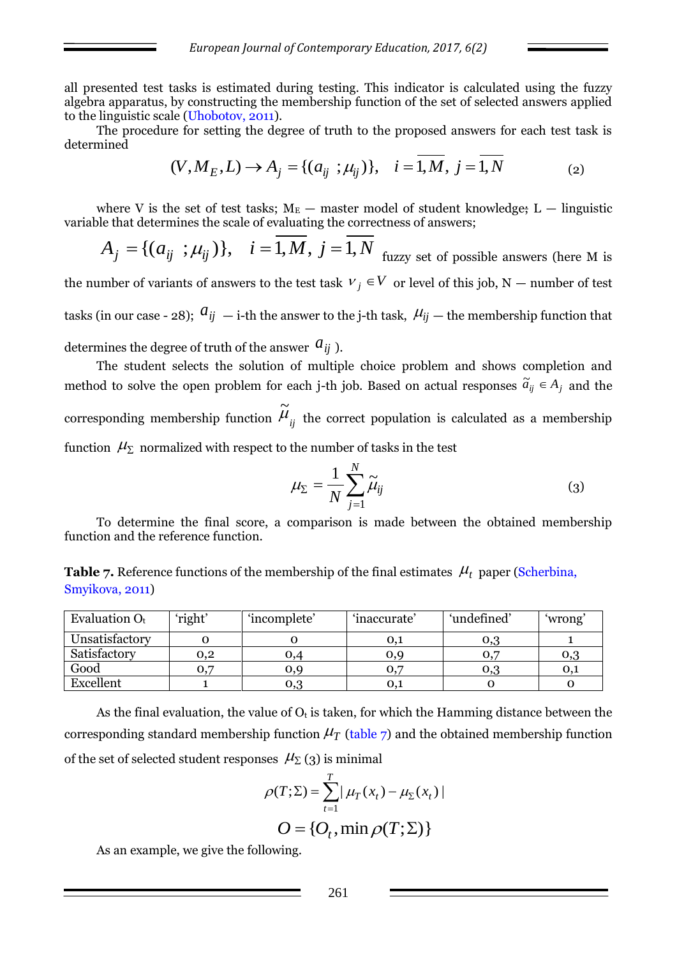all presented test tasks is estimated during testing. This indicator is calculated using the fuzzy algebra apparatus, by constructing the membership function of the set of selected answers applied to the linguistic scale (Uhobotov, 2011).

The procedure for setting the degree of truth to the proposed answers for each test task is determined

$$
(V, M_E, L) \to A_j = \{(a_{ij} \ ; \mu_{ij})\}, \quad i = 1, M, j = 1, N
$$
 (2)

where V is the set of test tasks;  $M_E$  — master model of student knowledge; L — linguistic variable that determines the scale of evaluating the correctness of answers;

$$
A_j = \{ (a_{ij} ; \mu_{ij}) \}, \quad i = 1, M, j = 1, N
$$
 <sub>fuzzy set of possible answers (here M is</sub>

the number of variants of answers to the test task  $V_j \in V$  or level of this job, N — number of test tasks (in our case - 28);  $\hat{a}_{ij}$  — i-th the answer to the j-th task,  $\hat{\mu}_{ij}$  — the membership function that determines the degree of truth of the answer  $a_{ij}$  ).

The student selects the solution of multiple choice problem and shows completion and method to solve the open problem for each j-th job. Based on actual responses  $\tilde{a}_{ij} \in A_j$  and the corresponding membership function  $\widetilde{\mu}_{\overrightarrow{ij}}$ the correct population is calculated as a membership function  $\,\mathcal{H}_\Sigma\,$  normalized with respect to the number of tasks in the test

$$
\mu_{\Sigma} = \frac{1}{N} \sum_{j=1}^{N} \widetilde{\mu}_{ij}
$$
 (3)

To determine the final score, a comparison is made between the obtained membership function and the reference function.

**Table 7.** Reference functions of the membership of the final estimates  $\mu_t$  paper (Scherbina, Smyikova, 2011)

| Evaluation $O_t$ | 'right'      | 'incomplete' | 'inaccurate' | 'undefined' | 'wrong'       |
|------------------|--------------|--------------|--------------|-------------|---------------|
| Unsatisfactory   |              |              | 0,1          | 0,3         |               |
| Satisfactory     | $_{\rm 0,2}$ | 0,4          | 0,9          |             | 0,3           |
| Good             | 0.7          | 0,9          | 0.7          | 0,3         | $O_{\lambda}$ |
| Excellent        |              | 0,3          | 0,1          |             |               |

As the final evaluation, the value of  $O_t$  is taken, for which the Hamming distance between the corresponding standard membership function  $\mu$ <sup>T</sup> (table 7) and the obtained membership function of the set of selected student responses  $\mathcal{H}_{\Sigma}(3)$  is minimal

$$
\rho(T; \Sigma) = \sum_{t=1}^{T} |\mu_T(x_t) - \mu_{\Sigma}(x_t)|
$$
  

$$
O = \{O_t, \min \rho(T; \Sigma)\}
$$

As an example, we give the following.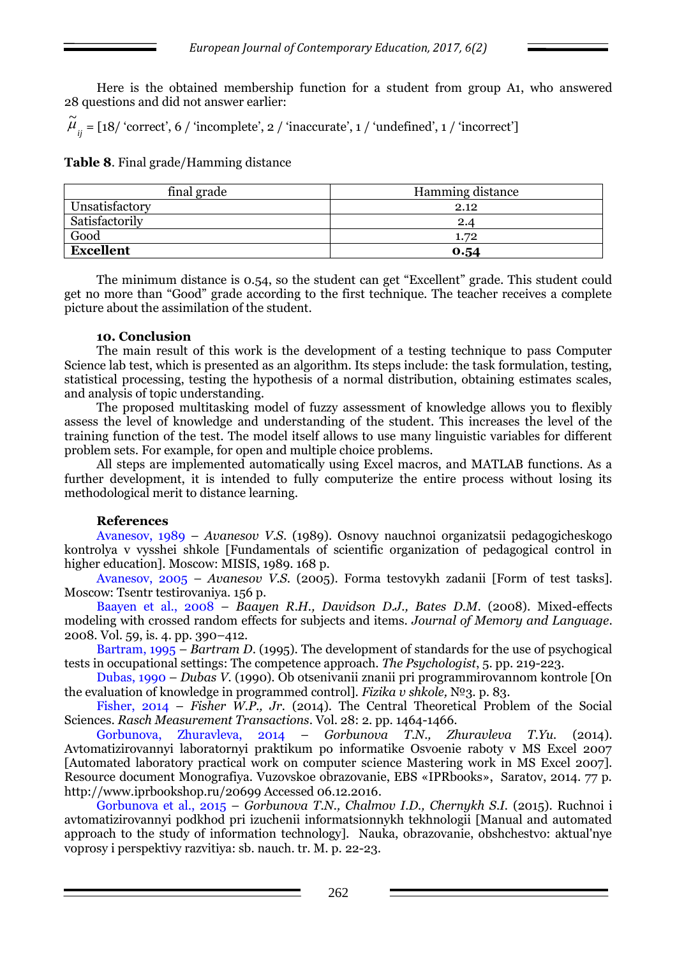Here is the obtained membership function for a student from group A1, who answered 28 questions and did not answer earlier:

 $\widetilde{\mu}_{ij} = [18/$  'correct', 6 / 'incomplete', 2 / 'inaccurate', 1 / 'undefined', 1 / 'incorrect']

**Table 8**. Final grade/Hamming distance

| final grade      | Hamming distance |
|------------------|------------------|
| Unsatisfactory   | 2.12             |
| Satisfactorily   | 2.4              |
| Good             | 1.72             |
| <b>Excellent</b> | 0.54             |

The minimum distance is 0.54, so the student can get "Excellent" grade. This student could get no more than "Good" grade according to the first technique. The teacher receives a complete picture about the assimilation of the student.

### **10. Conclusion**

The main result of this work is the development of a testing technique to pass Computer Science lab test, which is presented as an algorithm. Its steps include: the task formulation, testing, statistical processing, testing the hypothesis of a normal distribution, obtaining estimates scales, and analysis of topic understanding.

The proposed multitasking model of fuzzy assessment of knowledge allows you to flexibly assess the level of knowledge and understanding of the student. This increases the level of the training function of the test. The model itself allows to use many linguistic variables for different problem sets. For example, for open and multiple choice problems.

All steps are implemented automatically using Excel macros, and MATLAB functions. As a further development, it is intended to fully computerize the entire process without losing its methodological merit to distance learning.

### **References**

Avanesov, 1989 – *Avanesov V.S*. (1989). Osnovy nauchnoi organizatsii pedagogicheskogo kontrolya v vysshei shkole [Fundamentals of scientific organization of pedagogical control in higher education]. Moscow: MISIS, 1989. 168 p.

Avanesov, 2005 – *Avanesov V.S*. (2005). Forma testovykh zadanii [Form of test tasks]. Moscow: Tsentr testirovaniya. 156 p.

Baayen et al., 2008 – *Baayen R.H., Davidson D.J., Bates D.M*. (2008). Mixed-effects modeling with crossed random effects for subjects and items. *Journal of Memory and Language*. 2008. Vol. 59, is. 4. pp. 390–412.

Bartram, 1995 – *Bartram D*. (1995). The development of standards for the use of psychogical tests in occupational settings: The competence approach. *The Psychologist*, 5. pp. 219-223.

Dubas, 1990 – *Dubas V.* (1990). Ob otsenivanii znanii pri programmirovannom kontrole [On the evaluation of knowledge in programmed control]. *Fizika v shkole,* №3. p. 83.

Fisher, 2014 – *Fisher W.P., Jr.* (2014). The Central Theoretical Problem of the Social Sciences. *Rasch Measurement Transactions*. Vol. 28: 2. pp. 1464-1466.

Gorbunova, Zhuravleva, 2014 – *Gorbunova T.N., Zhuravleva T.Yu.* (2014). Avtomatizirovannyi laboratornyi praktikum po informatike Osvoenie raboty v MS Excel 2007 [Automated laboratory practical work on computer science Mastering work in MS Excel 2007]. Resource document Monografiya. Vuzovskoe obrazovanie, EBS «IPRbooks», Saratov, 2014. 77 p. http://www.iprbookshop.ru/20699 Accessed 06.12.2016.

Gorbunova et al., 2015 – *Gorbunova T.N., Chalmov I.D., Chernykh S.I.* (2015). Ruchnoi i avtomatizirovannyi podkhod pri izuchenii informatsionnykh tekhnologii [Manual and automated approach to the study of information technology]. Nauka, obrazovanie, obshchestvo: aktual'nye voprosy i perspektivy razvitiya: sb. nauch. tr. M. p. 22-23.